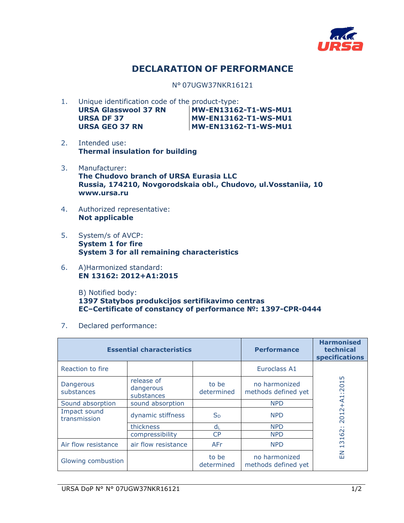

## **DECLARATION OF PERFORMANCE**

N° 07UGW37NKR16121

- 1. Unique identification code of the product-type: URSA Glasswool 37 RN MW-EN13162-T1-WS-MU1 **URSA DF 37 MW-EN13162-T1-WS-MU1**  URSA GEO 37 RN MW-EN13162-T1-WS-MU1
- 2. Intended use: **Thermal insulation for building**
- 3. Manufacturer: **The Chudovo branch of URSA Eurasia LLC Russia, 174210, Novgorodskaia obl., Chudovo, ul.Vosstaniia, 10 www.ursa.ru**
- 4. Authorized representative: **Not applicable**
- 5. System/s of AVCP: **System 1 for fire System 3 for all remaining characteristics**
- 6. A)Harmonized standard: **EN 13162: 2012+A1:2015**

B) Notified body: **1397 Statybos produkcijos sertifikavimo centras EC–Certificate of constancy of performance №: 1397-CPR-0444** 

7. Declared performance:

| <b>Essential characteristics</b> |                                       |                     | <b>Performance</b>                   | <b>Harmonised</b><br>technical<br>specifications                 |
|----------------------------------|---------------------------------------|---------------------|--------------------------------------|------------------------------------------------------------------|
| Reaction to fire                 |                                       |                     | Euroclass A1                         |                                                                  |
| Dangerous<br>substances          | release of<br>dangerous<br>substances | to be<br>determined | no harmonized<br>methods defined yet | LO<br>:201                                                       |
| Sound absorption                 | sound absorption                      |                     | <b>NPD</b>                           | $+AA1$                                                           |
| Impact sound<br>transmission     | dynamic stiffness                     | $S_{D}$             | <b>NPD</b>                           | 012<br>$\overline{\sim}$                                         |
|                                  | thickness                             | dı                  | <b>NPD</b>                           | . .                                                              |
|                                  | compressibility                       | CP                  | <b>NPD</b>                           | $\sim$<br>$\circ$                                                |
| Air flow resistance              | air flow resistance                   | AFr                 | <b>NPD</b>                           | $\overline{\phantom{0}}$<br>$\infty$<br>$\overline{\phantom{0}}$ |
| Glowing combustion               |                                       | to be<br>determined | no harmonized<br>methods defined yet | 룹                                                                |